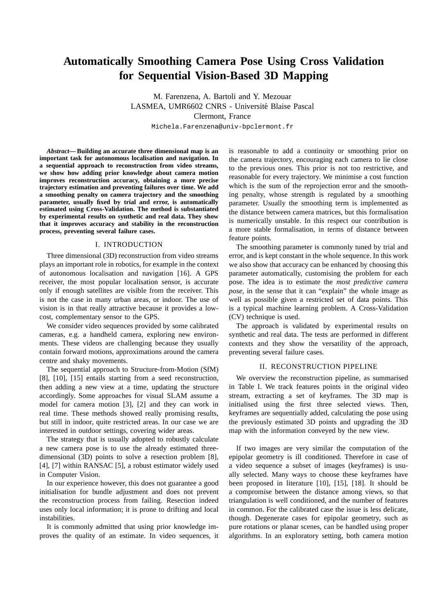# **Automatically Smoothing Camera Pose Using Cross Validation for Sequential Vision-Based 3D Mapping**

M. Farenzena, A. Bartoli and Y. Mezouar LASMEA, UMR6602 CNRS - Université Blaise Pascal Clermont, France Michela.Farenzena@univ-bpclermont.fr

*Abstract***— Building an accurate three dimensional map is an important task for autonomous localisation and navigation. In a sequential approach to reconstruction from video streams, we show how adding prior knowledge about camera motion improves reconstruction accuracy, obtaining a more precise trajectory estimation and preventing failures over time. We add a smoothing penalty on camera trajectory and the smoothing parameter, usually fixed by trial and error, is automatically estimated using Cross-Validation. The method is substantiated by experimental results on synthetic and real data. They show that it improves accuracy and stability in the reconstruction process, preventing several failure cases.**

# I. INTRODUCTION

Three dimensional (3D) reconstruction from video streams plays an important role in robotics, for example in the context of autonomous localisation and navigation [16]. A GPS receiver, the most popular localisation sensor, is accurate only if enough satellites are visible from the receiver. This is not the case in many urban areas, or indoor. The use of vision is in that really attractive because it provides a lowcost, complementary sensor to the GPS.

We consider video sequences provided by some calibrated cameras, e.g. a handheld camera, exploring new environments. These videos are challenging because they usually contain forward motions, approximations around the camera centre and shaky movements.

The sequential approach to Structure-from-Motion (SfM) [8], [10], [15] entails starting from a seed reconstruction, then adding a new view at a time, updating the structure accordingly. Some approaches for visual SLAM assume a model for camera motion [3], [2] and they can work in real time. These methods showed really promising results, but still in indoor, quite restricted areas. In our case we are interested in outdoor settings, covering wider areas.

The strategy that is usually adopted to robustly calculate a new camera pose is to use the already estimated threedimensional (3D) points to solve a resection problem [8], [4], [7] within RANSAC [5], a robust estimator widely used in Computer Vision.

In our experience however, this does not guarantee a good initialisation for bundle adjustment and does not prevent the reconstruction process from failing. Resection indeed uses only local information; it is prone to drifting and local instabilities.

It is commonly admitted that using prior knowledge improves the quality of an estimate. In video sequences, it is reasonable to add a continuity or smoothing prior on the camera trajectory, encouraging each camera to lie close to the previous ones. This prior is not too restrictive, and reasonable for every trajectory. We minimise a cost function which is the sum of the reprojection error and the smoothing penalty, whose strength is regulated by a smoothing parameter. Usually the smoothing term is implemented as the distance between camera matrices, but this formalisation is numerically unstable. In this respect our contribution is a more stable formalisation, in terms of distance between feature points.

The smoothing parameter is commonly tuned by trial and error, and is kept constant in the whole sequence. In this work we also show that accuracy can be enhanced by choosing this parameter automatically, customising the problem for each pose. The idea is to estimate the *most predictive camera pose*, in the sense that it can "explain" the whole image as well as possible given a restricted set of data points. This is a typical machine learning problem. A Cross-Validation (CV) technique is used.

The approach is validated by experimental results on synthetic and real data. The tests are performed in different contexts and they show the versatility of the approach, preventing several failure cases.

#### II. RECONSTRUCTION PIPELINE

We overview the reconstruction pipeline, as summarised in Table I. We track features points in the original video stream, extracting a set of keyframes. The 3D map is initialised using the first three selected views. Then, keyframes are sequentially added, calculating the pose using the previously estimated 3D points and upgrading the 3D map with the information conveyed by the new view.

If two images are very similar the computation of the epipolar geometry is ill conditioned. Therefore in case of a video sequence a subset of images (keyframes) is usually selected. Many ways to choose these keyframes have been proposed in literature [10], [15], [18]. It should be a compromise between the distance among views, so that triangulation is well conditioned, and the number of features in common. For the calibrated case the issue is less delicate, though. Degenerate cases for epipolar geometry, such as pure rotations or planar scenes, can be handled using proper algorithms. In an exploratory setting, both camera motion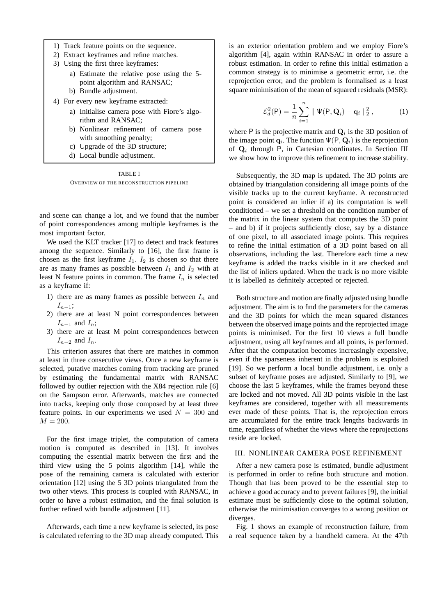- 1) Track feature points on the sequence.
- 2) Extract keyframes and refine matches.
- 3) Using the first three keyframes:
	- a) Estimate the relative pose using the 5 point algorithm and RANSAC;
	- b) Bundle adjustment.
- 4) For every new keyframe extracted:
	- a) Initialise camera pose with Fiore's algorithm and RANSAC;
	- b) Nonlinear refinement of camera pose with smoothing penalty;
	- c) Upgrade of the 3D structure;
	- d) Local bundle adjustment.

TABLE I OVERVIEW OF THE RECONSTRUCTION PIPELINE

and scene can change a lot, and we found that the number of point correspondences among multiple keyframes is the most important factor.

We used the KLT tracker [17] to detect and track features among the sequence. Similarly to [16], the first frame is chosen as the first keyframe  $I_1$ .  $I_2$  is chosen so that there are as many frames as possible between  $I_1$  and  $I_2$  with at least N feature points in common. The frame  $I_n$  is selected as a keyframe if:

- 1) there are as many frames as possible between  $I_n$  and  $I_{n-1}$ ;
- 2) there are at least N point correspondences between  $I_{n-1}$  and  $I_n$ ;
- 3) there are at least M point correspondences between  $I_{n-2}$  and  $I_n$ .

This criterion assures that there are matches in common at least in three consecutive views. Once a new keyframe is selected, putative matches coming from tracking are pruned by estimating the fundamental matrix with RANSAC followed by outlier rejection with the X84 rejection rule [6] on the Sampson error. Afterwards, matches are connected into tracks, keeping only those composed by at least three feature points. In our experiments we used  $N = 300$  and  $M = 200.$ 

For the first image triplet, the computation of camera motion is computed as described in [13]. It involves computing the essential matrix between the first and the third view using the 5 points algorithm [14], while the pose of the remaining camera is calculated with exterior orientation [12] using the 5 3D points triangulated from the two other views. This process is coupled with RANSAC, in order to have a robust estimation, and the final solution is further refined with bundle adjustment [11].

Afterwards, each time a new keyframe is selected, its pose is calculated referring to the 3D map already computed. This is an exterior orientation problem and we employ Fiore's algorithm [4], again within RANSAC in order to assure a robust estimation. In order to refine this initial estimation a common strategy is to minimise a geometric error, i.e. the reprojection error, and the problem is formalised as a least square minimisation of the mean of squared residuals (MSR):

$$
\mathcal{E}_d^2(\mathsf{P}) = \frac{1}{n} \sum_{i=1}^n \| \Psi(\mathsf{P}, \mathbf{Q}_i) - \mathbf{q}_i \|_2^2 , \qquad (1)
$$

where P is the projective matrix and  $Q_i$  is the 3D position of the image point  $\mathbf{q}_i$ . The function  $\Psi(\mathsf{P}, \mathbf{Q}_i)$  is the reprojection of Q<sub>i</sub> through P, in Cartesian coordinates. In Section III we show how to improve this refinement to increase stability.

Subsequently, the 3D map is updated. The 3D points are obtained by triangulation considering all image points of the visible tracks up to the current keyframe. A reconstructed point is considered an inlier if a) its computation is well conditioned – we set a threshold on the condition number of the matrix in the linear system that computes the 3D point – and b) if it projects sufficiently close, say by a distance of one pixel, to all associated image points. This requires to refine the initial estimation of a 3D point based on all observations, including the last. Therefore each time a new keyframe is added the tracks visible in it are checked and the list of inliers updated. When the track is no more visible it is labelled as definitely accepted or rejected.

Both structure and motion are finally adjusted using bundle adjustment. The aim is to find the parameters for the cameras and the 3D points for which the mean squared distances between the observed image points and the reprojected image points is minimised. For the first 10 views a full bundle adjustment, using all keyframes and all points, is performed. After that the computation becomes increasingly expensive, even if the sparseness inherent in the problem is exploited [19]. So we perform a local bundle adjustment, i.e. only a subset of keyframe poses are adjusted. Similarly to [9], we choose the last 5 keyframes, while the frames beyond these are locked and not moved. All 3D points visible in the last keyframes are considered, together with all measurements ever made of these points. That is, the reprojection errors are accumulated for the entire track lengths backwards in time, regardless of whether the views where the reprojections reside are locked.

## III. NONLINEAR CAMERA POSE REFINEMENT

After a new camera pose is estimated, bundle adjustment is performed in order to refine both structure and motion. Though that has been proved to be the essential step to achieve a good accuracy and to prevent failures [9], the initial estimate must be sufficiently close to the optimal solution, otherwise the minimisation converges to a wrong position or diverges.

Fig. 1 shows an example of reconstruction failure, from a real sequence taken by a handheld camera. At the 47th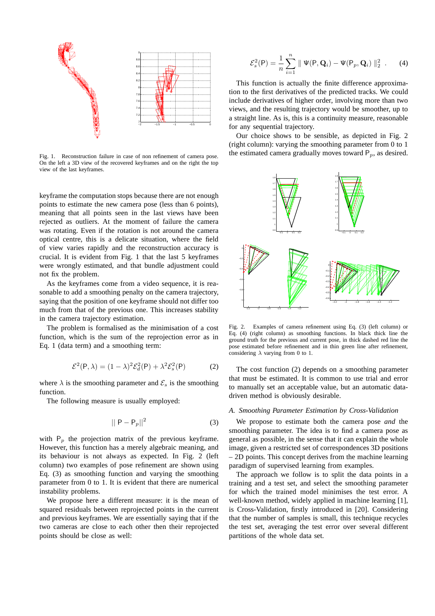

Fig. 1. Reconstruction failure in case of non refinement of camera pose. On the left a 3D view of the recovered keyframes and on the right the top view of the last keyframes.

keyframe the computation stops because there are not enough points to estimate the new camera pose (less than 6 points), meaning that all points seen in the last views have been rejected as outliers. At the moment of failure the camera was rotating. Even if the rotation is not around the camera optical centre, this is a delicate situation, where the field of view varies rapidly and the reconstruction accuracy is crucial. It is evident from Fig. 1 that the last 5 keyframes were wrongly estimated, and that bundle adjustment could not fix the problem.

As the keyframes come from a video sequence, it is reasonable to add a smoothing penalty on the camera trajectory, saying that the position of one keyframe should not differ too much from that of the previous one. This increases stability in the camera trajectory estimation.

The problem is formalised as the minimisation of a cost function, which is the sum of the reprojection error as in Eq. 1 (data term) and a smoothing term:

$$
\mathcal{E}^2(\mathsf{P}, \lambda) = (1 - \lambda)^2 \mathcal{E}_d^2(\mathsf{P}) + \lambda^2 \mathcal{E}_s^2(\mathsf{P})
$$
 (2)

where  $\lambda$  is the smoothing parameter and  $\mathcal{E}_s$  is the smoothing function.

The following measure is usually employed:

$$
||\mathbf{P} - \mathbf{P}_p||^2 \tag{3}
$$

with  $P_p$  the projection matrix of the previous keyframe. However, this function has a merely algebraic meaning, and its behaviour is not always as expected. In Fig. 2 (left column) two examples of pose refinement are shown using Eq. (3) as smoothing function and varying the smoothing parameter from 0 to 1. It is evident that there are numerical instability problems.

We propose here a different measure: it is the mean of squared residuals between reprojected points in the current and previous keyframes. We are essentially saying that if the two cameras are close to each other then their reprojected points should be close as well:

$$
\mathcal{E}_s^2(\mathsf{P}) = \frac{1}{n} \sum_{i=1}^n \| \Psi(\mathsf{P}, \mathbf{Q}_i) - \Psi(\mathsf{P}_p, \mathbf{Q}_i) \|_2^2 \quad . \tag{4}
$$

This function is actually the finite difference approximation to the first derivatives of the predicted tracks. We could include derivatives of higher order, involving more than two views, and the resulting trajectory would be smoother, up to a straight line. As is, this is a continuity measure, reasonable for any sequential trajectory.

Our choice shows to be sensible, as depicted in Fig. 2 (right column): varying the smoothing parameter from 0 to 1 the estimated camera gradually moves toward  $P_p$ , as desired.



Fig. 2. Examples of camera refinement using Eq. (3) (left column) or Eq. (4) (right column) as smoothing functions. In black thick line the ground truth for the previous and current pose, in thick dashed red line the pose estimated before refinement and in thin green line after refinement, considering  $\lambda$  varying from 0 to 1.

The cost function (2) depends on a smoothing parameter that must be estimated. It is common to use trial and error to manually set an acceptable value, but an automatic datadriven method is obviously desirable.

### *A. Smoothing Parameter Estimation by Cross-Validation*

We propose to estimate both the camera pose *and* the smoothing parameter. The idea is to find a camera pose as general as possible, in the sense that it can explain the whole image, given a restricted set of correspondences 3D positions – 2D points. This concept derives from the machine learning paradigm of supervised learning from examples.

The approach we follow is to split the data points in a training and a test set, and select the smoothing parameter for which the trained model minimises the test error. A well-known method, widely applied in machine learning [1], is Cross-Validation, firstly introduced in [20]. Considering that the number of samples is small, this technique recycles the test set, averaging the test error over several different partitions of the whole data set.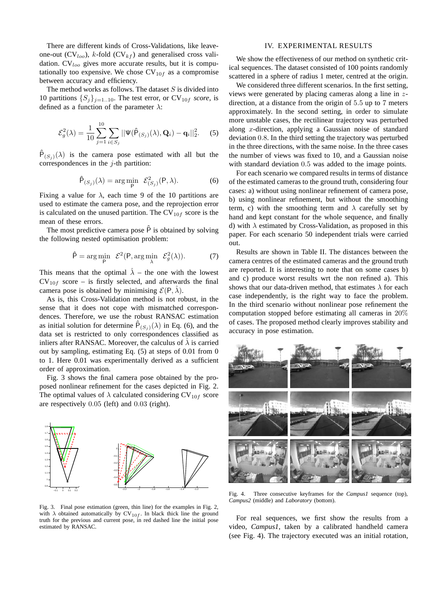There are different kinds of Cross-Validations, like leaveone-out  $(CV_{loop})$ , k-fold  $(CV_{kf})$  and generalised cross validation.  $CV<sub>loo</sub>$  gives more accurate results, but it is computationally too expensive. We chose  $CV_{10f}$  as a compromise between accuracy and efficiency.

The method works as follows. The dataset  $S$  is divided into 10 partitions  $\{S_j\}_{j=1..10}$ . The test error, or CV<sub>10f</sub> *score*, is defined as a function of the parameter  $\lambda$ :

$$
\mathcal{E}_{g}^{2}(\lambda) = \frac{1}{10} \sum_{j=1}^{10} \sum_{i \in S_{j}} ||\Psi(\hat{P}_{(S_{j})}(\lambda), \mathbf{Q}_{i}) - \mathbf{q}_{i}||_{2}^{2}.
$$
 (5)

 $\hat{P}_{(S_j)}(\lambda)$  is the camera pose estimated with all but the correspondences in the  $j$ -th partition:

$$
\hat{\mathsf{P}}_{(S_j)}(\lambda) = \arg\min_{\mathsf{P}} \ \mathcal{E}^2_{(S_j)}(\mathsf{P}, \lambda). \tag{6}
$$

Fixing a value for  $\lambda$ , each time 9 of the 10 partitions are used to estimate the camera pose, and the reprojection error is calculated on the unused partition. The  $CV_{10f}$  score is the mean of these errors.

The most predictive camera pose  $\hat{P}$  is obtained by solving the following nested optimisation problem:

$$
\hat{\mathsf{P}} = \arg\min_{\mathsf{P}} \ \mathcal{E}^2(\mathsf{P}, \arg\min_{\lambda} \ \mathcal{E}_g^2(\lambda)). \tag{7}
$$

This means that the optimal  $\hat{\lambda}$  – the one with the lowest  $CV_{10f}$  score – is firstly selected, and afterwards the final camera pose is obtained by minimising  $\mathcal{E}(P, \lambda)$ .

As is, this Cross-Validation method is not robust, in the sense that it does not cope with mismatched correspondences. Therefore, we use the robust RANSAC estimation as initial solution for determine  $\hat{P}_{(S_j)}(\lambda)$  in Eq. (6), and the data set is restricted to only correspondences classified as inliers after RANSAC. Moreover, the calculus of  $\lambda$  is carried out by sampling, estimating Eq. (5) at steps of 0.01 from 0 to 1. Here 0.01 was experimentally derived as a sufficient order of approximation.

Fig. 3 shows the final camera pose obtained by the proposed nonlinear refinement for the cases depicted in Fig. 2. The optimal values of  $\lambda$  calculated considering CV<sub>10f</sub> score are respectively 0.05 (left) and 0.03 (right).



Fig. 3. Final pose estimation (green, thin line) for the examples in Fig. 2, with  $\lambda$  obtained automatically by CV<sub>10f</sub>. In black thick line the ground truth for the previous and current pose, in red dashed line the initial pose estimated by RANSAC.

# IV. EXPERIMENTAL RESULTS

We show the effectiveness of our method on synthetic critical sequences. The dataset consisted of 100 points randomly scattered in a sphere of radius 1 meter, centred at the origin.

We considered three different scenarios. In the first setting, views were generated by placing cameras along a line in zdirection, at a distance from the origin of 5.5 up to 7 meters approximately. In the second setting, in order to simulate more unstable cases, the rectilinear trajectory was perturbed along x-direction, applying a Gaussian noise of standard deviation 0.8. In the third setting the trajectory was perturbed in the three directions, with the same noise. In the three cases the number of views was fixed to 10, and a Gaussian noise with standard deviation 0.5 was added to the image points.

For each scenario we compared results in terms of distance of the estimated cameras to the ground truth, considering four cases: a) without using nonlinear refinement of camera pose, b) using nonlinear refinement, but without the smoothing term, c) with the smoothing term and  $\lambda$  carefully set by hand and kept constant for the whole sequence, and finally d) with  $\lambda$  estimated by Cross-Validation, as proposed in this paper. For each scenario 50 independent trials were carried out.

Results are shown in Table II. The distances between the camera centres of the estimated cameras and the ground truth are reported. It is interesting to note that on some cases b) and c) produce worst results wrt the non refined a). This shows that our data-driven method, that estimates  $\lambda$  for each case independently, is the right way to face the problem. In the third scenario without nonlinear pose refinement the computation stopped before estimating all cameras in 20% of cases. The proposed method clearly improves stability and accuracy in pose estimation.



Fig. 4. Three consecutive keyframes for the *Campus1* sequence (top), *Campus2* (middle) and *Laboratory* (bottom).

For real sequences, we first show the results from a video, *Campus1*, taken by a calibrated handheld camera (see Fig. 4). The trajectory executed was an initial rotation,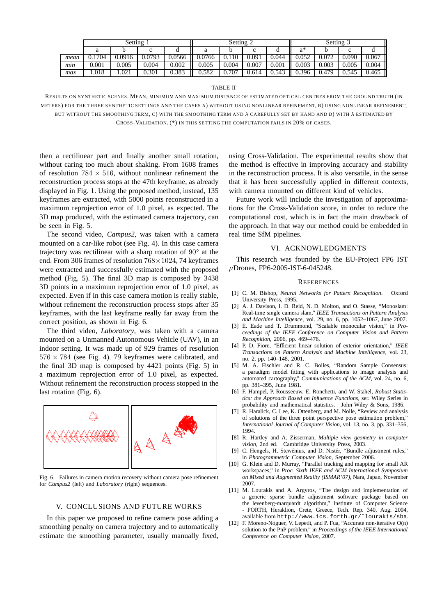|      | Setting   |        |        |        | Setting 2 |       |       |       | Setting 3 |       |       |       |
|------|-----------|--------|--------|--------|-----------|-------|-------|-------|-----------|-------|-------|-------|
|      |           |        |        |        |           |       |       |       | a*        |       | ◡     |       |
| mean | .1704     | 0.0916 | 0.0793 | 0.0566 | 0.0766    | 0.110 | 0.091 | 0.044 | 0.052     | 0.072 | 0.090 | 0.067 |
| min  | $0.001\,$ | 0.005  | 0.004  | 0.002  | 0.005     | 0.004 | 0.007 | 0.001 | 0.003     | 0.003 | 0.005 | 0.004 |
| max  | 1.018     | 1.021  | 0.301  | 0.383  | 0.582     | 0.707 | 0.614 | 0.543 | 0.396     | 0.479 | 0.545 | 0.465 |

#### TABLE II

RESULTS ON SYNTHETIC SCENES. MEAN, MINIMUM AND MAXIMUM DISTANCE OF ESTIMATED OPTICAL CENTRES FROM THE GROUND TRUTH (IN METERS) FOR THE THREE SYNTHETIC SETTINGS AND THE CASES A) WITHOUT USING NONLINEAR REFINEMENT, B) USING NONLINEAR REFINEMENT, BUT WITHOUT THE SMOOTHING TERM, C) WITH THE SMOOTHING TERM AND  $\lambda$  CAREFULLY SET BY HAND AND D) WITH  $\lambda$  ESTIMATED BY CROSS-VALIDATION. (\*) IN THIS SETTING THE COMPUTATION FAILS IN 20% OF CASES.

then a rectilinear part and finally another small rotation, without caring too much about shaking. From 1608 frames of resolution  $784 \times 516$ , without nonlinear refinement the reconstruction process stops at the 47th keyframe, as already displayed in Fig. 1. Using the proposed method, instead, 135 keyframes are extracted, with 5000 points reconstructed in a maximum reprojection error of 1.0 pixel, as expected. The 3D map produced, with the estimated camera trajectory, can be seen in Fig. 5.

The second video, *Campus2*, was taken with a camera mounted on a car-like robot (see Fig. 4). In this case camera trajectory was rectilinear with a sharp rotation of  $90^\circ$  at the end. From 306 frames of resolution  $768 \times 1024$ , 74 keyframes were extracted and successfully estimated with the proposed method (Fig. 5). The final 3D map is composed by 3438 3D points in a maximum reprojection error of 1.0 pixel, as expected. Even if in this case camera motion is really stable, without refinement the reconstruction process stops after 35 keyframes, with the last keyframe really far away from the correct position, as shown in Fig. 6.

The third video, *Laboratory*, was taken with a camera mounted on a Unmanned Autonomous Vehicle (UAV), in an indoor setting. It was made up of 929 frames of resolution  $576 \times 784$  (see Fig. 4). 79 keyframes were calibrated, and the final 3D map is composed by 4421 points (Fig. 5) in a maximum reprojection error of 1.0 pixel, as expected. Without refinement the reconstruction process stopped in the last rotation (Fig. 6).



Fig. 6. Failures in camera motion recovery without camera pose refinement for *Campus2* (left) and *Laboratory* (right) sequences.

### V. CONCLUSIONS AND FUTURE WORKS

In this paper we proposed to refine camera pose adding a smoothing penalty on camera trajectory and to automatically estimate the smoothing parameter, usually manually fixed,

using Cross-Validation. The experimental results show that the method is effective in improving accuracy and stability in the reconstruction process. It is also versatile, in the sense that it has been successfully applied in different contexts, with camera mounted on different kind of vehicles.

Future work will include the investigation of approximations for the Cross-Validation score, in order to reduce the computational cost, which is in fact the main drawback of the approach. In that way our method could be embedded in real time SfM pipelines.

## VI. ACKNOWLEDGMENTS

This research was founded by the EU-Project FP6 IST µDrones, FP6-2005-IST-6-045248.

#### **REFERENCES**

- [1] C. M. Bishop, *Neural Networks for Pattern Recognition*. Oxford University Press, 1995.
- [2] A. J. Davison, I. D. Reid, N. D. Molton, and O. Stasse, "Monoslam: Real-time single camera slam," *IEEE Transactions on Pattern Analysis and Machine Intelligence*, vol. 29, no. 6, pp. 1052–1067, June 2007.
- [3] E. Eade and T. Drummond, "Scalable monocular vision," in *Proceedings of the IEEE Conference on Computer Vision and Pattern Recognition*, 2006, pp. 469–476.
- [4] P. D. Fiore, "Efficient linear solution of exterior orientation," *IEEE Transactions on Pattern Analysis and Machine Intelligence*, vol. 23, no. 2, pp. 140–148, 2001.
- [5] M. A. Fischler and R. C. Bolles, "Random Sample Consensus: a paradigm model fitting with applications to image analysis and automated cartography," *Communications of the ACM*, vol. 24, no. 6, pp. 381–395, June 1981.
- [6] F. Hampel, P. Rousseeuw, E. Ronchetti, and W. Stahel, *Robust Statistics: the Approach Based on Influence Functions*, ser. Wiley Series in probability and mathematical statistics. John Wiley & Sons, 1986.
- [7] R. Haralick, C. Lee, K. Ottenberg, and M. Nolle, "Review and analysis of solutions of the three point perspective pose estimation problem," *International Journal of Computer Vision*, vol. 13, no. 3, pp. 331–356, 1994.
- [8] R. Hartley and A. Zisserman, *Multiple view geometry in computer vision*, 2nd ed. Cambridge University Press, 2003.
- [9] C. Hengels, H. Stewénius, and D. Nistér, "Bundle adjustment rules," in *Photogrammetric Computer Vision*, September 2006.
- [10] G. Klein and D. Murray, "Parallel tracking and mapping for small AR workspaces," in *Proc. Sixth IEEE and ACM International Symposium on Mixed and Augmented Reality (ISMAR'07)*, Nara, Japan, November 2007.
- [11] M. Lourakis and A. Argyros, "The design and implementation of a generic sparse bundle adjustment software package based on the levenberg-marquardt algorithm," Institute of Computer Science - FORTH, Heraklion, Crete, Greece, Tech. Rep. 340, Aug. 2004, available from http://www.ics.forth.gr/˜lourakis/sba.
- [12] F. Moreno-Noguer, V. Lepetit, and P. Fua, "Accurate non-iterative O(n) solution to the PnP problem," in *Proceedings of the IEEE International Conference on Computer Vision*, 2007.